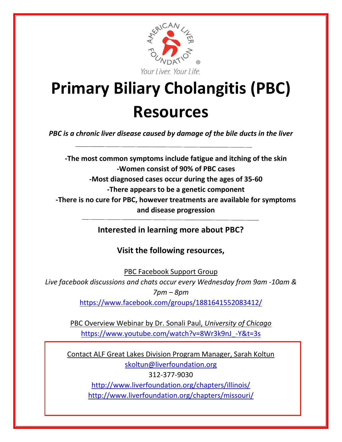

## **Primary Biliary Cholangitis (PBC) Resources**

*PBC is a chronic liver disease caused by damage of the bile ducts in the liver*

**-The most common symptoms include fatigue and itching of the skin -Women consist of 90% of PBC cases -Most diagnosed cases occur during the ages of 35-60 -There appears to be a genetic component -There is no cure for PBC, however treatments are available for symptoms and disease progression**

**Interested in learning more about PBC?** 

**Visit the following resources,**

PBC Facebook Support Group

*Live facebook discussions and chats occur every Wednesday from 9am -10am & 7pm – 8pm*

<https://www.facebook.com/groups/1881641552083412/>

PBC Overview Webinar by Dr. Sonali Paul, *University of Chicago* [https://www.youtube.com/watch?v=8Wr3k9nJ\\_-Y&t=3s](https://www.youtube.com/watch?v=8Wr3k9nJ_-Y&t=3s)

Contact ALF Great Lakes Division Program Manager, Sarah Koltun [skoltun@liverfoundation.org](mailto:skoltun@liverfoundation.org) 312-377-9030 <http://www.liverfoundation.org/chapters/illinois/> <http://www.liverfoundation.org/chapters/missouri/>